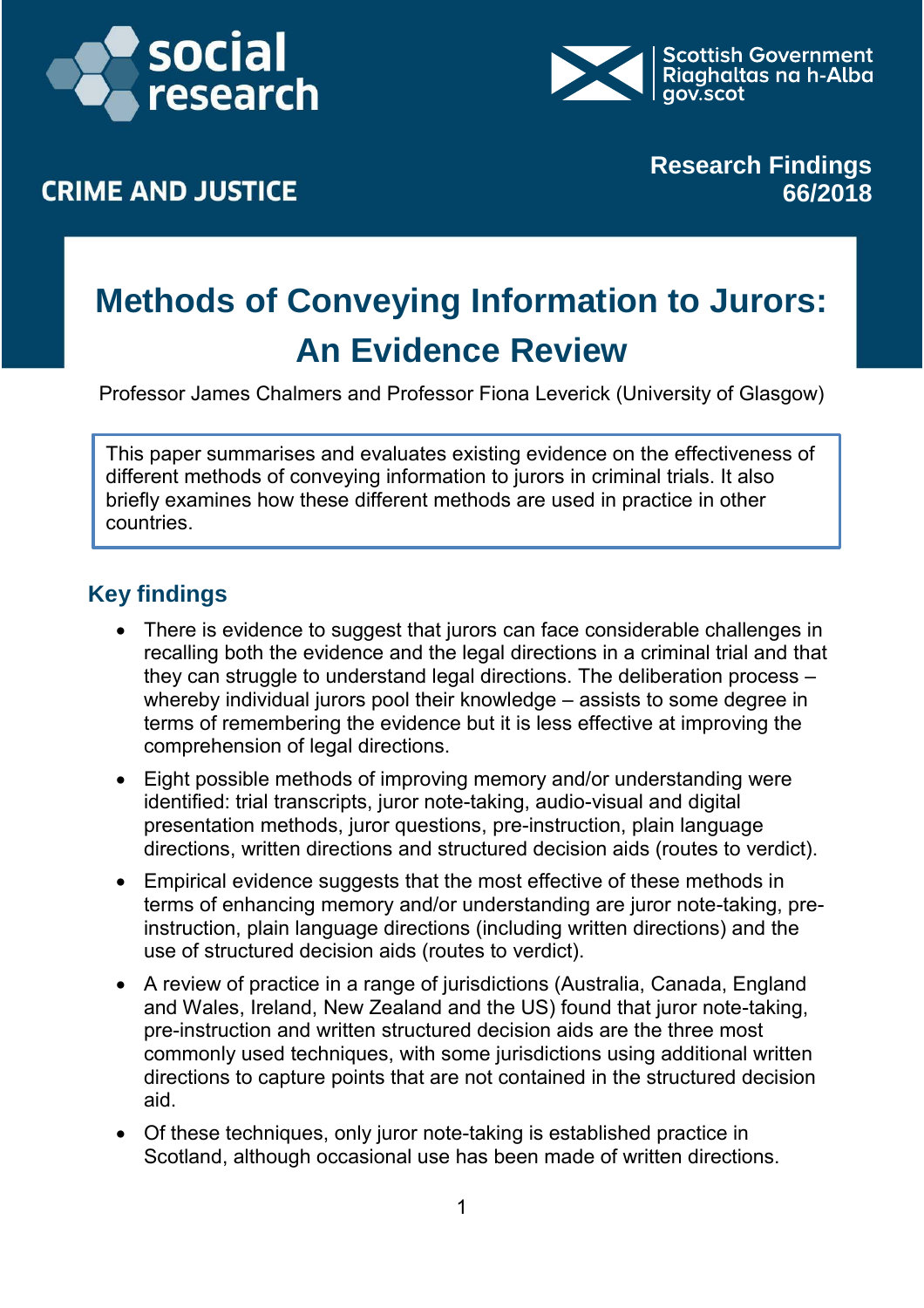



## **CRIME AND JUSTICE**

**Research Findings 66/2018**

# **Methods of Conveying Information to Jurors: An Evidence Review**

Professor James Chalmers and Professor Fiona Leverick (University of Glasgow)

This paper summarises and evaluates existing evidence on the effectiveness of different methods of conveying information to jurors in criminal trials. It also briefly examines how these different methods are used in practice in other countries.

### **Key findings**

- There is evidence to suggest that jurors can face considerable challenges in recalling both the evidence and the legal directions in a criminal trial and that they can struggle to understand legal directions. The deliberation process – whereby individual jurors pool their knowledge – assists to some degree in terms of remembering the evidence but it is less effective at improving the comprehension of legal directions.
- Eight possible methods of improving memory and/or understanding were identified: trial transcripts, juror note-taking, audio-visual and digital presentation methods, juror questions, pre-instruction, plain language directions, written directions and structured decision aids (routes to verdict).
- Empirical evidence suggests that the most effective of these methods in terms of enhancing memory and/or understanding are juror note-taking, preinstruction, plain language directions (including written directions) and the use of structured decision aids (routes to verdict).
- A review of practice in a range of jurisdictions (Australia, Canada, England and Wales, Ireland, New Zealand and the US) found that juror note-taking, pre-instruction and written structured decision aids are the three most commonly used techniques, with some jurisdictions using additional written directions to capture points that are not contained in the structured decision aid.
- Of these techniques, only juror note-taking is established practice in Scotland, although occasional use has been made of written directions.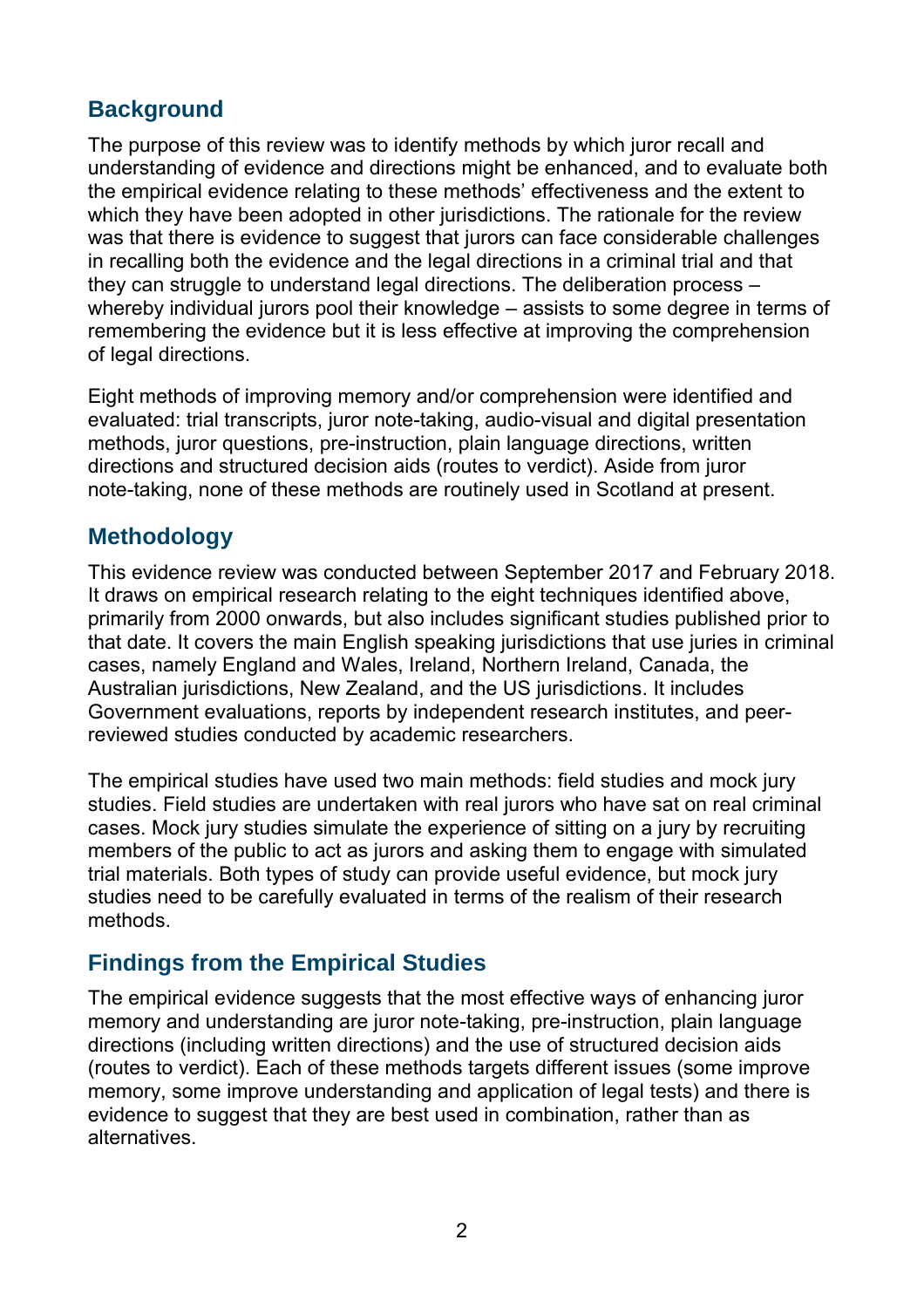#### **Background**

The purpose of this review was to identify methods by which juror recall and understanding of evidence and directions might be enhanced, and to evaluate both the empirical evidence relating to these methods' effectiveness and the extent to which they have been adopted in other jurisdictions. The rationale for the review was that there is evidence to suggest that jurors can face considerable challenges in recalling both the evidence and the legal directions in a criminal trial and that they can struggle to understand legal directions. The deliberation process – whereby individual jurors pool their knowledge – assists to some degree in terms of remembering the evidence but it is less effective at improving the comprehension of legal directions.

Eight methods of improving memory and/or comprehension were identified and evaluated: trial transcripts, juror note-taking, audio-visual and digital presentation methods, juror questions, pre-instruction, plain language directions, written directions and structured decision aids (routes to verdict). Aside from juror note-taking, none of these methods are routinely used in Scotland at present.

#### **Methodology**

This evidence review was conducted between September 2017 and February 2018. It draws on empirical research relating to the eight techniques identified above, primarily from 2000 onwards, but also includes significant studies published prior to that date. It covers the main English speaking jurisdictions that use juries in criminal cases, namely England and Wales, Ireland, Northern Ireland, Canada, the Australian jurisdictions, New Zealand, and the US jurisdictions. It includes Government evaluations, reports by independent research institutes, and peerreviewed studies conducted by academic researchers.

The empirical studies have used two main methods: field studies and mock jury studies. Field studies are undertaken with real jurors who have sat on real criminal cases. Mock jury studies simulate the experience of sitting on a jury by recruiting members of the public to act as jurors and asking them to engage with simulated trial materials. Both types of study can provide useful evidence, but mock jury studies need to be carefully evaluated in terms of the realism of their research methods.

#### **Findings from the Empirical Studies**

The empirical evidence suggests that the most effective ways of enhancing juror memory and understanding are juror note-taking, pre-instruction, plain language directions (including written directions) and the use of structured decision aids (routes to verdict). Each of these methods targets different issues (some improve memory, some improve understanding and application of legal tests) and there is evidence to suggest that they are best used in combination, rather than as alternatives.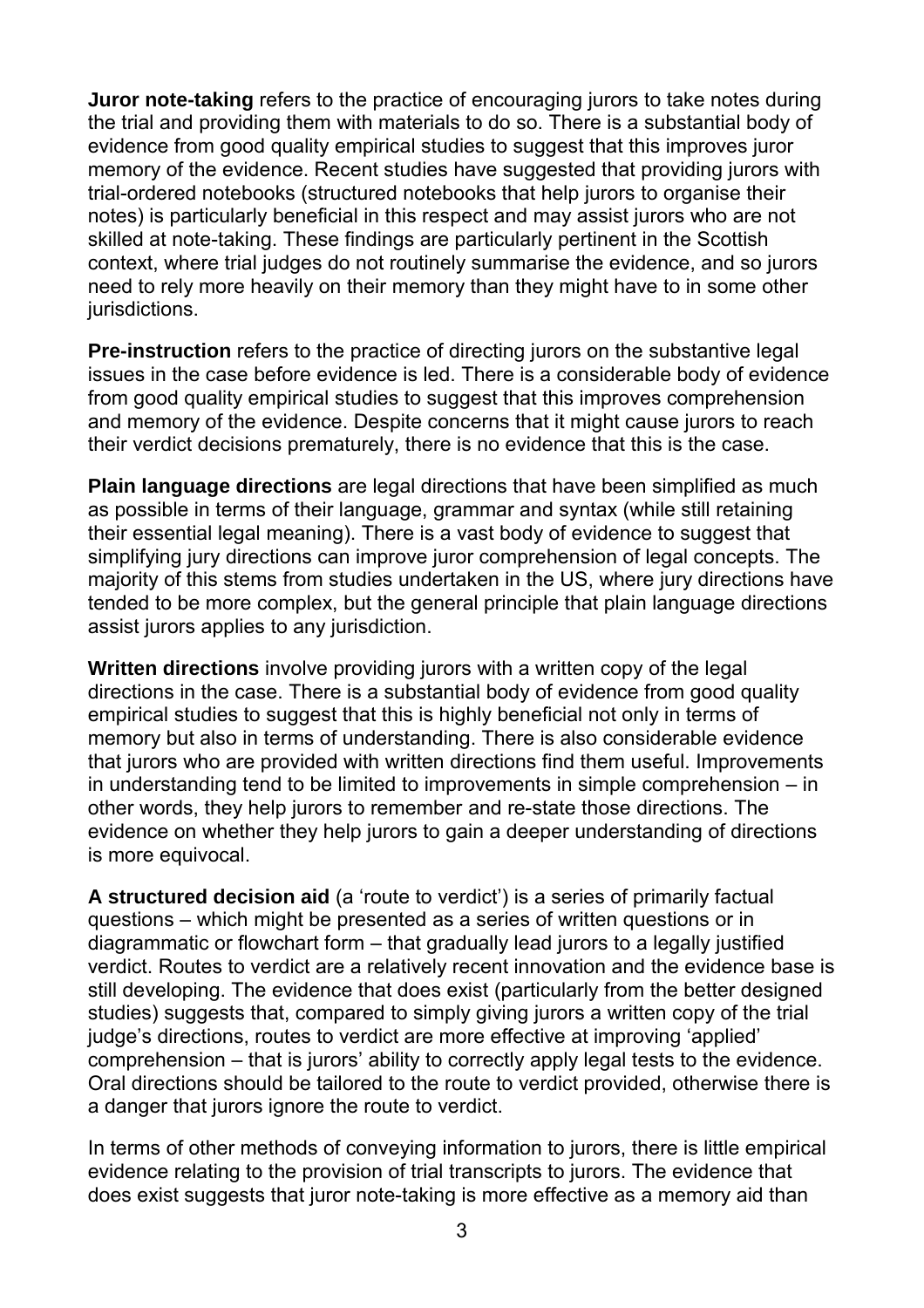**Juror note-taking** refers to the practice of encouraging jurors to take notes during the trial and providing them with materials to do so. There is a substantial body of evidence from good quality empirical studies to suggest that this improves juror memory of the evidence. Recent studies have suggested that providing jurors with trial-ordered notebooks (structured notebooks that help jurors to organise their notes) is particularly beneficial in this respect and may assist jurors who are not skilled at note-taking. These findings are particularly pertinent in the Scottish context, where trial judges do not routinely summarise the evidence, and so jurors need to rely more heavily on their memory than they might have to in some other jurisdictions.

**Pre-instruction** refers to the practice of directing jurors on the substantive legal issues in the case before evidence is led. There is a considerable body of evidence from good quality empirical studies to suggest that this improves comprehension and memory of the evidence. Despite concerns that it might cause jurors to reach their verdict decisions prematurely, there is no evidence that this is the case.

**Plain language directions** are legal directions that have been simplified as much as possible in terms of their language, grammar and syntax (while still retaining their essential legal meaning). There is a vast body of evidence to suggest that simplifying jury directions can improve juror comprehension of legal concepts. The majority of this stems from studies undertaken in the US, where jury directions have tended to be more complex, but the general principle that plain language directions assist jurors applies to any jurisdiction.

**Written directions** involve providing jurors with a written copy of the legal directions in the case. There is a substantial body of evidence from good quality empirical studies to suggest that this is highly beneficial not only in terms of memory but also in terms of understanding. There is also considerable evidence that jurors who are provided with written directions find them useful. Improvements in understanding tend to be limited to improvements in simple comprehension – in other words, they help jurors to remember and re-state those directions. The evidence on whether they help jurors to gain a deeper understanding of directions is more equivocal.

**A structured decision aid** (a 'route to verdict') is a series of primarily factual questions – which might be presented as a series of written questions or in diagrammatic or flowchart form – that gradually lead jurors to a legally justified verdict. Routes to verdict are a relatively recent innovation and the evidence base is still developing. The evidence that does exist (particularly from the better designed studies) suggests that, compared to simply giving jurors a written copy of the trial judge's directions, routes to verdict are more effective at improving 'applied' comprehension – that is jurors' ability to correctly apply legal tests to the evidence. Oral directions should be tailored to the route to verdict provided, otherwise there is a danger that jurors ignore the route to verdict.

In terms of other methods of conveying information to jurors, there is little empirical evidence relating to the provision of trial transcripts to jurors. The evidence that does exist suggests that juror note-taking is more effective as a memory aid than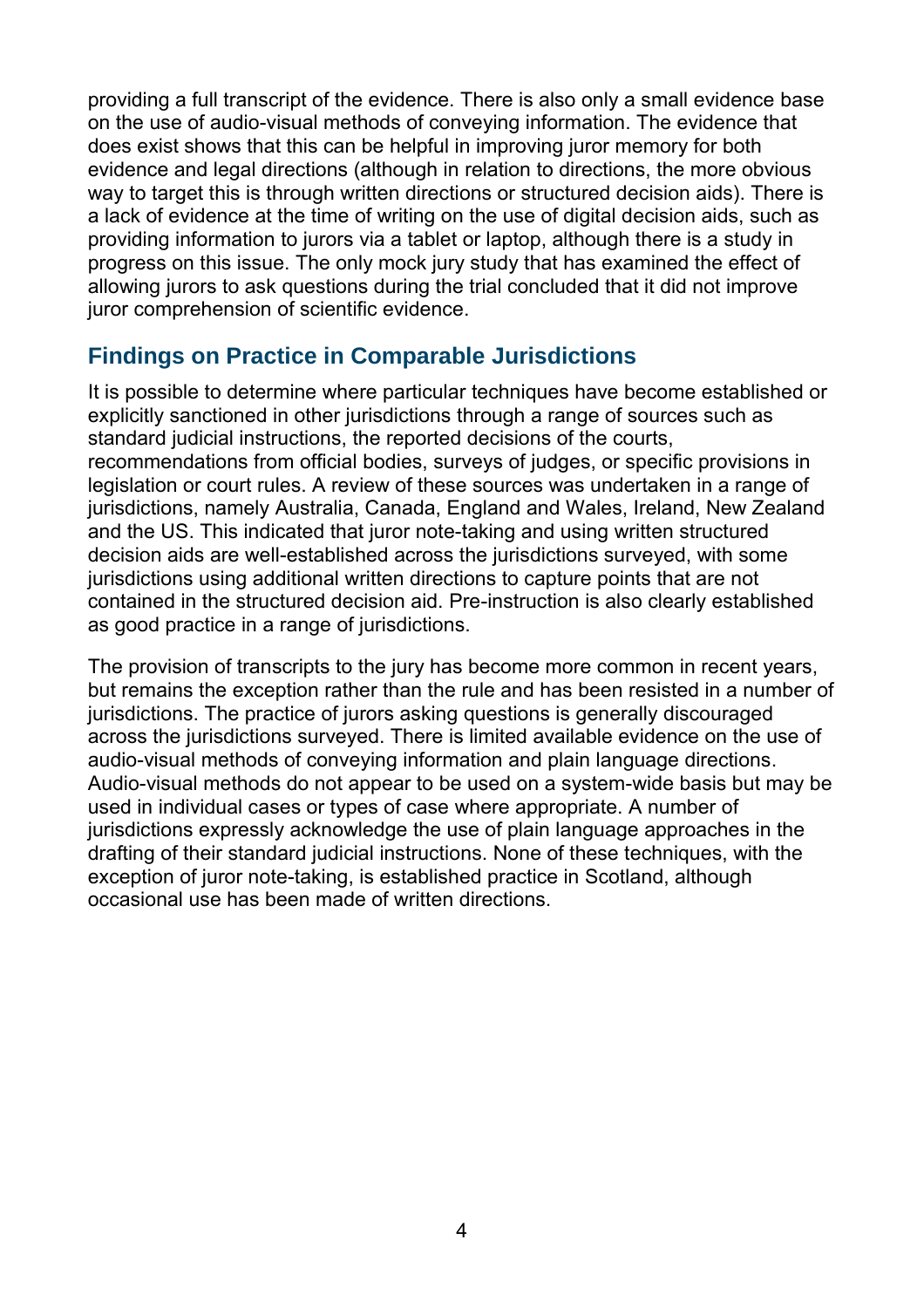providing a full transcript of the evidence. There is also only a small evidence base on the use of audio-visual methods of conveying information. The evidence that does exist shows that this can be helpful in improving juror memory for both evidence and legal directions (although in relation to directions, the more obvious way to target this is through written directions or structured decision aids). There is a lack of evidence at the time of writing on the use of digital decision aids, such as providing information to jurors via a tablet or laptop, although there is a study in progress on this issue. The only mock jury study that has examined the effect of allowing jurors to ask questions during the trial concluded that it did not improve juror comprehension of scientific evidence.

#### **Findings on Practice in Comparable Jurisdictions**

It is possible to determine where particular techniques have become established or explicitly sanctioned in other jurisdictions through a range of sources such as standard judicial instructions, the reported decisions of the courts, recommendations from official bodies, surveys of judges, or specific provisions in legislation or court rules. A review of these sources was undertaken in a range of jurisdictions, namely Australia, Canada, England and Wales, Ireland, New Zealand and the US. This indicated that juror note-taking and using written structured decision aids are well-established across the jurisdictions surveyed, with some jurisdictions using additional written directions to capture points that are not contained in the structured decision aid. Pre-instruction is also clearly established as good practice in a range of jurisdictions.

The provision of transcripts to the jury has become more common in recent years, but remains the exception rather than the rule and has been resisted in a number of jurisdictions. The practice of jurors asking questions is generally discouraged across the jurisdictions surveyed. There is limited available evidence on the use of audio-visual methods of conveying information and plain language directions. Audio-visual methods do not appear to be used on a system-wide basis but may be used in individual cases or types of case where appropriate. A number of jurisdictions expressly acknowledge the use of plain language approaches in the drafting of their standard judicial instructions. None of these techniques, with the exception of juror note-taking, is established practice in Scotland, although occasional use has been made of written directions.